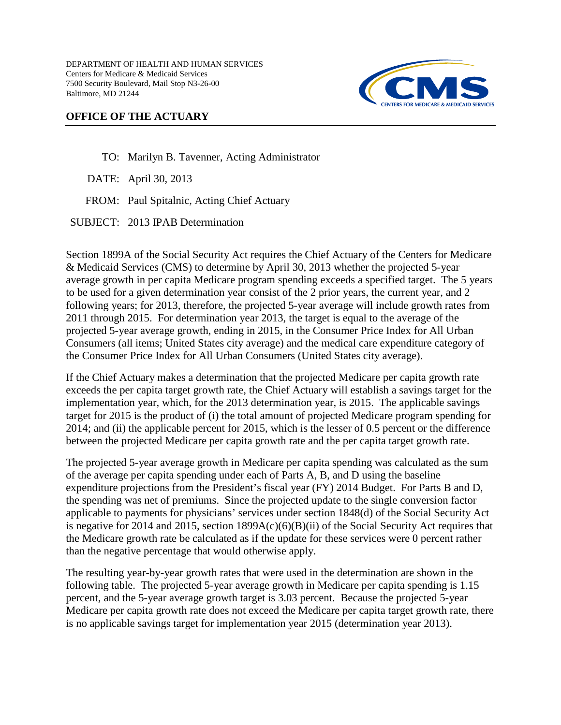DEPARTMENT OF HEALTH AND HUMAN SERVICES Centers for Medicare & Medicaid Services 7500 Security Boulevard, Mail Stop N3-26-00 Baltimore, MD 21244



## **OFFICE OF THE ACTUARY**

TO: Marilyn B. Tavenner, Acting Administrator

DATE: April 30, 2013

FROM: Paul Spitalnic, Acting Chief Actuary

SUBJECT: 2013 IPAB Determination

Section 1899A of the Social Security Act requires the Chief Actuary of the Centers for Medicare & Medicaid Services (CMS) to determine by April 30, 2013 whether the projected 5-year average growth in per capita Medicare program spending exceeds a specified target. The 5 years to be used for a given determination year consist of the 2 prior years, the current year, and 2 following years; for 2013, therefore, the projected 5-year average will include growth rates from 2011 through 2015. For determination year 2013, the target is equal to the average of the projected 5-year average growth, ending in 2015, in the Consumer Price Index for All Urban Consumers (all items; United States city average) and the medical care expenditure category of the Consumer Price Index for All Urban Consumers (United States city average).

If the Chief Actuary makes a determination that the projected Medicare per capita growth rate exceeds the per capita target growth rate, the Chief Actuary will establish a savings target for the implementation year, which, for the 2013 determination year, is 2015. The applicable savings target for 2015 is the product of (i) the total amount of projected Medicare program spending for 2014; and (ii) the applicable percent for 2015, which is the lesser of 0.5 percent or the difference between the projected Medicare per capita growth rate and the per capita target growth rate.

The projected 5-year average growth in Medicare per capita spending was calculated as the sum of the average per capita spending under each of Parts A, B, and D using the baseline expenditure projections from the President's fiscal year (FY) 2014 Budget. For Parts B and D, the spending was net of premiums. Since the projected update to the single conversion factor applicable to payments for physicians' services under section 1848(d) of the Social Security Act is negative for 2014 and 2015, section  $1899A(c)(6)(B)(ii)$  of the Social Security Act requires that the Medicare growth rate be calculated as if the update for these services were 0 percent rather than the negative percentage that would otherwise apply.

The resulting year-by-year growth rates that were used in the determination are shown in the following table. The projected 5-year average growth in Medicare per capita spending is 1.15 percent, and the 5-year average growth target is 3.03 percent. Because the projected 5-year Medicare per capita growth rate does not exceed the Medicare per capita target growth rate, there is no applicable savings target for implementation year 2015 (determination year 2013).